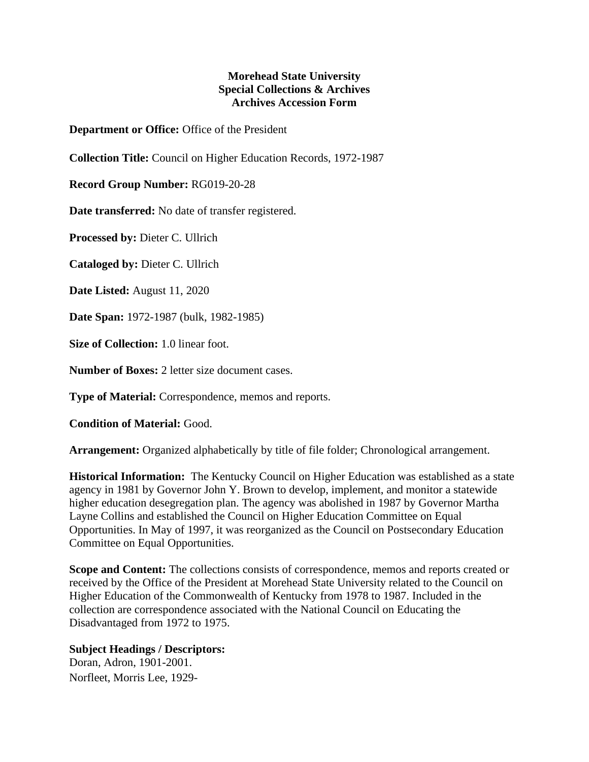## **Morehead State University Special Collections & Archives Archives Accession Form**

**Department or Office:** Office of the President

**Collection Title:** Council on Higher Education Records, 1972-1987

**Record Group Number:** RG019-20-28

**Date transferred:** No date of transfer registered.

**Processed by:** Dieter C. Ullrich

**Cataloged by:** Dieter C. Ullrich

**Date Listed:** August 11, 2020

**Date Span:** 1972-1987 (bulk, 1982-1985)

**Size of Collection:** 1.0 linear foot.

**Number of Boxes:** 2 letter size document cases.

**Type of Material:** Correspondence, memos and reports.

**Condition of Material:** Good.

**Arrangement:** Organized alphabetically by title of file folder; Chronological arrangement.

**Historical Information:** The Kentucky Council on Higher Education was established as a state agency in 1981 by Governor John Y. Brown to develop, implement, and monitor a statewide higher education desegregation plan. The agency was abolished in 1987 by Governor Martha Layne Collins and established the Council on Higher Education Committee on Equal Opportunities. In May of 1997, it was reorganized as the Council on Postsecondary Education Committee on Equal Opportunities.

**Scope and Content:** The collections consists of correspondence, memos and reports created or received by the Office of the President at Morehead State University related to the Council on Higher Education of the Commonwealth of Kentucky from 1978 to 1987. Included in the collection are correspondence associated with the National Council on Educating the Disadvantaged from 1972 to 1975.

## **Subject Headings / Descriptors:**

Doran, Adron, 1901-2001. Norfleet, Morris Lee, 1929